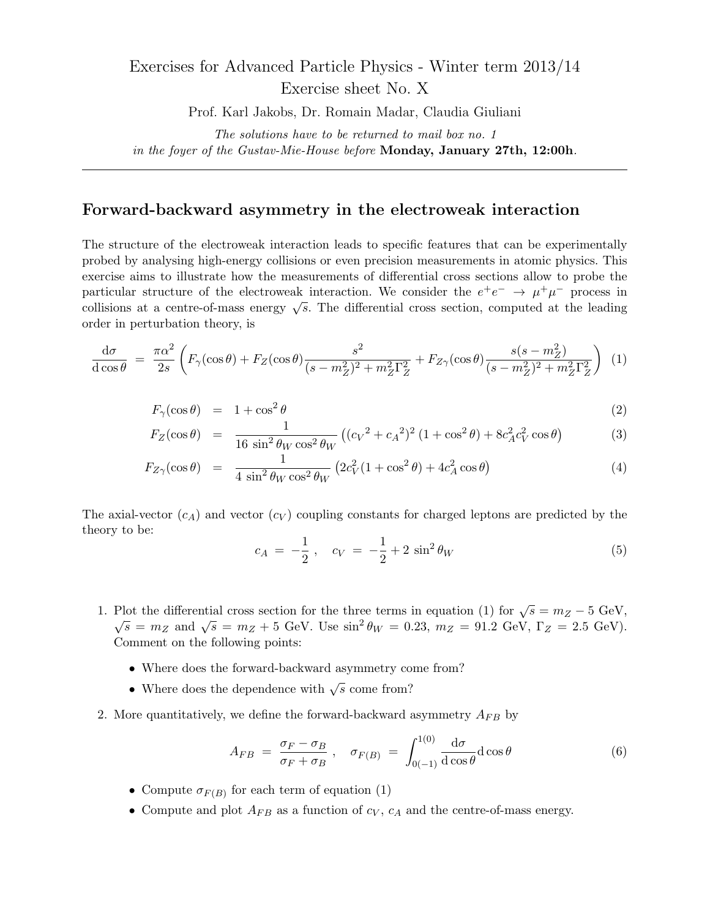## Exercises for Advanced Particle Physics - Winter term 2013/14 Exercise sheet No. X

Prof. Karl Jakobs, Dr. Romain Madar, Claudia Giuliani

*The solutions have to be returned to mail box no. 1 in the foyer of the Gustav-Mie-House before* **Monday, January 27th, 12:00h***.*

## **Forward-backward asymmetry in the electroweak interaction**

The structure of the electroweak interaction leads to specific features that can be experimentally probed by analysing high-energy collisions or even precision measurements in atomic physics. This exercise aims to illustrate how the measurements of differential cross sections allow to probe the particular structure of the electroweak interaction. We consider the  $e^+e^- \rightarrow \mu^+\mu^-$  process in collisions at a centre-of-mass energy *√ s*. The differential cross section, computed at the leading order in perturbation theory, is

$$
\frac{d\sigma}{d\cos\theta} = \frac{\pi\alpha^2}{2s} \left( F_\gamma(\cos\theta) + F_Z(\cos\theta) \frac{s^2}{(s - m_Z^2)^2 + m_Z^2 \Gamma_Z^2} + F_{Z\gamma}(\cos\theta) \frac{s(s - m_Z^2)}{(s - m_Z^2)^2 + m_Z^2 \Gamma_Z^2} \right) (1)
$$

$$
F_{\gamma}(\cos \theta) = 1 + \cos^2 \theta \tag{2}
$$

$$
F_Z(\cos \theta) = \frac{1}{16 \sin^2 \theta_W \cos^2 \theta_W} \left( (c_V^2 + c_A^2)^2 (1 + \cos^2 \theta) + 8c_A^2 c_V^2 \cos \theta \right)
$$
(3)

$$
F_{Z\gamma}(\cos\theta) = \frac{1}{4\sin^2\theta_W\cos^2\theta_W} \left(2c_V^2(1+\cos^2\theta) + 4c_A^2\cos\theta\right)
$$
(4)

The axial-vector  $(c_A)$  and vector  $(c_V)$  coupling constants for charged leptons are predicted by the theory to be:

$$
c_A = -\frac{1}{2}, \quad c_V = -\frac{1}{2} + 2\sin^2\theta_W \tag{5}
$$

- 1. Plot the differential cross section for the three terms in equation (1) for  $\sqrt{s} = m_Z 5$  GeV,  $\sqrt{s} = m_Z$  and  $\sqrt{s} = m_Z + 5$  GeV. Use  $\sin^2 \theta_W = 0.23$ ,  $m_Z = 91.2$  GeV,  $\Gamma_Z = 2.5$  GeV). Comment on the following points:
	- Where does the forward-backward asymmetry come from?
	- Where does the dependence with  $\sqrt{s}$  come from?
- 2. More quantitatively, we define the forward-backward asymmetry *AF B* by

$$
A_{FB} = \frac{\sigma_F - \sigma_B}{\sigma_F + \sigma_B} , \quad \sigma_{F(B)} = \int_{0(-1)}^{1(0)} \frac{d\sigma}{d\cos\theta} d\cos\theta
$$
 (6)

- Compute  $\sigma_{F(B)}$  for each term of equation (1)
- Compute and plot  $A_{FB}$  as a function of  $c_V$ ,  $c_A$  and the centre-of-mass energy.